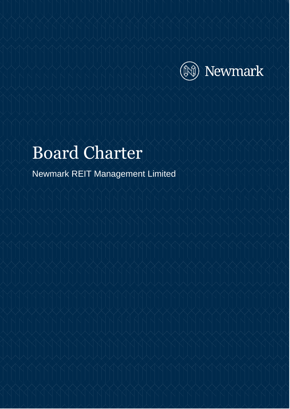

# Board Charter

Newmark REIT Management Limited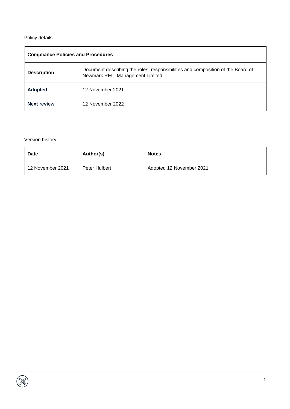#### Policy details

| <b>Compliance Policies and Procedures</b> |                                                                                                                     |  |  |
|-------------------------------------------|---------------------------------------------------------------------------------------------------------------------|--|--|
| <b>Description</b>                        | Document describing the roles, responsibilities and composition of the Board of<br>Newmark REIT Management Limited. |  |  |
| <b>Adopted</b>                            | 12 November 2021                                                                                                    |  |  |
| <b>Next review</b>                        | 12 November 2022                                                                                                    |  |  |

#### Version history

| <b>Date</b>        | Author(s)     | <b>Notes</b>             |
|--------------------|---------------|--------------------------|
| l 12 November 2021 | Peter Hulbert | Adopted 12 November 2021 |

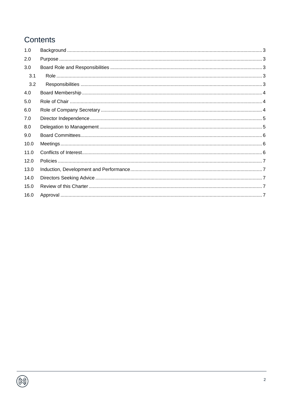# Contents

| 1.0  |  |
|------|--|
| 2.0  |  |
| 3.0  |  |
| 3.1  |  |
| 3.2  |  |
| 4.0  |  |
| 5.0  |  |
| 6.0  |  |
| 7.0  |  |
| 8.0  |  |
| 9.0  |  |
| 10.0 |  |
| 11.0 |  |
| 12.0 |  |
| 13.0 |  |
| 14.0 |  |
| 15.0 |  |
| 16.0 |  |
|      |  |

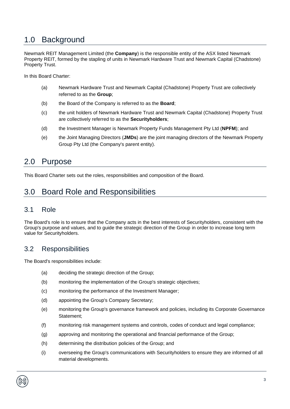# <span id="page-3-0"></span>1.0 Background

Newmark REIT Management Limited (the **Company**) is the responsible entity of the ASX listed Newmark Property REIT, formed by the stapling of units in Newmark Hardware Trust and Newmark Capital (Chadstone) Property Trust.

In this Board Charter:

- (a) Newmark Hardware Trust and Newmark Capital (Chadstone) Property Trust are collectively referred to as the **Group**;
- (b) the Board of the Company is referred to as the **Board**;
- (c) the unit holders of Newmark Hardware Trust and Newmark Capital (Chadstone) Property Trust are collectively referred to as the **Securityholders**;
- (d) the Investment Manager is Newmark Property Funds Management Pty Ltd (**NPFM**); and
- (e) the Joint Managing Directors (**JMDs**) are the joint managing directors of the Newmark Property Group Pty Ltd (the Company's parent entity).

#### <span id="page-3-1"></span>2.0 Purpose

This Board Charter sets out the roles, responsibilities and composition of the Board.

# <span id="page-3-2"></span>3.0 Board Role and Responsibilities

#### <span id="page-3-3"></span>3.1 Role

The Board's role is to ensure that the Company acts in the best interests of Securityholders, consistent with the Group's purpose and values, and to guide the strategic direction of the Group in order to increase long term value for Securityholders.

#### <span id="page-3-4"></span>3.2 Responsibilities

The Board's responsibilities include:

- (a) deciding the strategic direction of the Group;
- (b) monitoring the implementation of the Group's strategic objectives;
- (c) monitoring the performance of the Investment Manager;
- (d) appointing the Group's Company Secretary;
- (e) monitoring the Group's governance framework and policies, including its Corporate Governance Statement;
- (f) monitoring risk management systems and controls, codes of conduct and legal compliance;
- (g) approving and monitoring the operational and financial performance of the Group;
- (h) determining the distribution policies of the Group; and
- (i) overseeing the Group's communications with Securityholders to ensure they are informed of all material developments.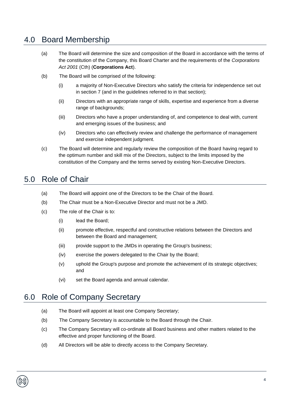# <span id="page-4-0"></span>4.0 Board Membership

- (a) The Board will determine the size and composition of the Board in accordance with the terms of the constitution of the Company, this Board Charter and the requirements of the *Corporations Act 2001* (Cth) (**Corporations Act**).
- (b) The Board will be comprised of the following:
	- (i) a majority of Non-Executive Directors who satisfy the criteria for independence set out in section 7 (and in the guidelines referred to in that section);
	- (ii) Directors with an appropriate range of skills, expertise and experience from a diverse range of backgrounds;
	- (iii) Directors who have a proper understanding of, and competence to deal with, current and emerging issues of the business; and
	- (iv) Directors who can effectively review and challenge the performance of management and exercise independent judgment.
- (c) The Board will determine and regularly review the composition of the Board having regard to the optimum number and skill mix of the Directors, subject to the limits imposed by the constitution of the Company and the terms served by existing Non-Executive Directors.

# <span id="page-4-1"></span>5.0 Role of Chair

- (a) The Board will appoint one of the Directors to be the Chair of the Board.
- (b) The Chair must be a Non-Executive Director and must not be a JMD.
- (c) The role of the Chair is to:
	- (i) lead the Board;
	- (ii) promote effective, respectful and constructive relations between the Directors and between the Board and management;
	- (iii) provide support to the JMDs in operating the Group's business;
	- (iv) exercise the powers delegated to the Chair by the Board;
	- (v) uphold the Group's purpose and promote the achievement of its strategic objectives; and
	- (vi) set the Board agenda and annual calendar.

#### <span id="page-4-2"></span>6.0 Role of Company Secretary

- (a) The Board will appoint at least one Company Secretary;
- (b) The Company Secretary is accountable to the Board through the Chair.
- (c) The Company Secretary will co-ordinate all Board business and other matters related to the effective and proper functioning of the Board.
- (d) All Directors will be able to directly access to the Company Secretary.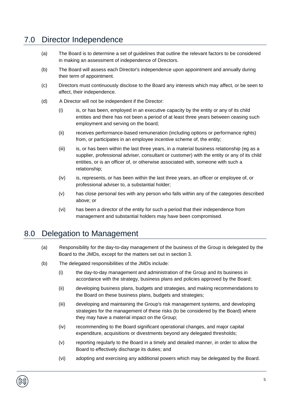# <span id="page-5-0"></span>7.0 Director Independence

- (a) The Board is to determine a set of guidelines that outline the relevant factors to be considered in making an assessment of independence of Directors.
- (b) The Board will assess each Director's independence upon appointment and annually during their term of appointment.
- (c) Directors must continuously disclose to the Board any interests which may affect, or be seen to affect, their independence.
- (d) A Director will not be independent if the Director:
	- (i) is, or has been, employed in an executive capacity by the entity or any of its child entities and there has not been a period of at least three years between ceasing such employment and serving on the board;
	- (ii) receives performance-based remuneration (including options or performance rights) from, or participates in an employee incentive scheme of, the entity;
	- (iii) is, or has been within the last three years, in a material business relationship (eg as a supplier, professional adviser, consultant or customer) with the entity or any of its child entities, or is an officer of, or otherwise associated with, someone with such a relationship;
	- (iv) is, represents, or has been within the last three years, an officer or employee of, or professional adviser to, a substantial holder;
	- (v) has close personal ties with any person who falls within any of the categories described above; or
	- (vi) has been a director of the entity for such a period that their independence from management and substantial holders may have been compromised.

#### <span id="page-5-1"></span>8.0 Delegation to Management

- (a) Responsibility for the day-to-day management of the business of the Group is delegated by the Board to the JMDs, except for the matters set out in section 3.
- (b) The delegated responsibilities of the JMDs include:
	- (i) the day-to-day management and administration of the Group and its business in accordance with the strategy, business plans and policies approved by the Board;
	- (ii) developing business plans, budgets and strategies, and making recommendations to the Board on these business plans, budgets and strategies;
	- (iii) developing and maintaining the Group's risk management systems, and developing strategies for the management of these risks (to be considered by the Board) where they may have a material impact on the Group;
	- (iv) recommending to the Board significant operational changes, and major capital expenditure, acquisitions or divestments beyond any delegated thresholds;
	- (v) reporting regularly to the Board in a timely and detailed manner, in order to allow the Board to effectively discharge its duties; and
	- (vi) adopting and exercising any additional powers which may be delegated by the Board.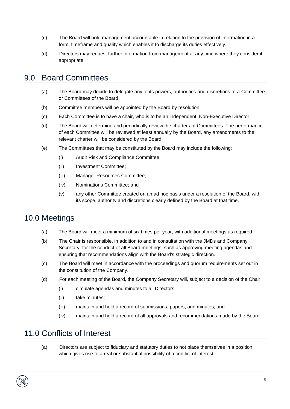- (c) The Board will hold management accountable in relation to the provision of information in a form, timeframe and quality which enables it to discharge its duties effectively.
- (d) Directors may request further information from management at any time where they consider it appropriate.

#### <span id="page-6-0"></span>9.0 Board Committees

- (a) The Board may decide to delegate any of its powers, authorities and discretions to a Committee or Committees of the Board.
- (b) Committee members will be appointed by the Board by resolution.
- (c) Each Committee is to have a chair, who is to be an independent, Non-Executive Director.
- (d) The Board will determine and periodically review the charters of Committees. The performance of each Committee will be reviewed at least annually by the Board, any amendments to the relevant charter will be considered by the Board.
- (e) The Committees that may be constituted by the Board may include the following:
	- (i) Audit Risk and Compliance Committee;
	- (ii) Investment Committee;
	- (iii) Manager Resources Committee;
	- (iv) Nominations Committee; and
	- (v) any other Committee created on an ad hoc basis under a resolution of the Board, with its scope, authority and discretions clearly defined by the Board at that time.

#### <span id="page-6-1"></span>10.0 Meetings

- (a) The Board will meet a minimum of six times per year, with additional meetings as required.
- (b) The Chair is responsible, in addition to and in consultation with the JMDs and Company Secretary, for the conduct of all Board meetings, such as approving meeting agendas and ensuring that recommendations align with the Board's strategic direction.
- (c) The Board will meet in accordance with the proceedings and quorum requirements set out in the constitution of the Company.
- (d) For each meeting of the Board, the Company Secretary will, subject to a decision of the Chair:
	- (i) circulate agendas and minutes to all Directors;
	- (ii) take minutes;
	- (iii) maintain and hold a record of submissions, papers, and minutes; and
	- (iv) maintain and hold a record of all approvals and recommendations made by the Board.

# <span id="page-6-2"></span>11.0 Conflicts of Interest

(a) Directors are subject to fiduciary and statutory duties to not place themselves in a position which gives rise to a real or substantial possibility of a conflict of interest.

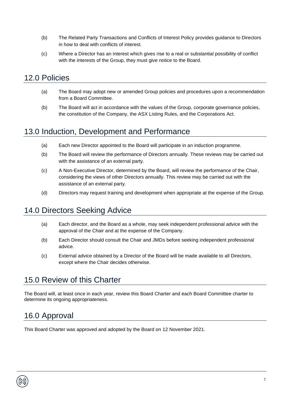- (b) The Related Party Transactions and Conflicts of Interest Policy provides guidance to Directors in how to deal with conflicts of interest.
- (c) Where a Director has an interest which gives rise to a real or substantial possibility of conflict with the interests of the Group, they must give notice to the Board.

#### <span id="page-7-0"></span>12.0 Policies

- (a) The Board may adopt new or amended Group policies and procedures upon a recommendation from a Board Committee.
- (b) The Board will act in accordance with the values of the Group, corporate governance policies, the constitution of the Company, the ASX Listing Rules, and the Corporations Act.

#### <span id="page-7-1"></span>13.0 Induction, Development and Performance

- (a) Each new Director appointed to the Board will participate in an induction programme.
- (b) The Board will review the performance of Directors annually. These reviews may be carried out with the assistance of an external party.
- (c) A Non-Executive Director, determined by the Board, will review the performance of the Chair, considering the views of other Directors annually. This review may be carried out with the assistance of an external party.
- (d) Directors may request training and development when appropriate at the expense of the Group.

# <span id="page-7-2"></span>14.0 Directors Seeking Advice

- (a) Each director, and the Board as a whole, may seek independent professional advice with the approval of the Chair and at the expense of the Company.
- (b) Each Director should consult the Chair and JMDs before seeking independent professional advice.
- (c) External advice obtained by a Director of the Board will be made available to all Directors, except where the Chair decides otherwise.

# <span id="page-7-3"></span>15.0 Review of this Charter

The Board will, at least once in each year, review this Board Charter and each Board Committee charter to determine its ongoing appropriateness.

# <span id="page-7-4"></span>16.0 Approval

This Board Charter was approved and adopted by the Board on 12 November 2021.